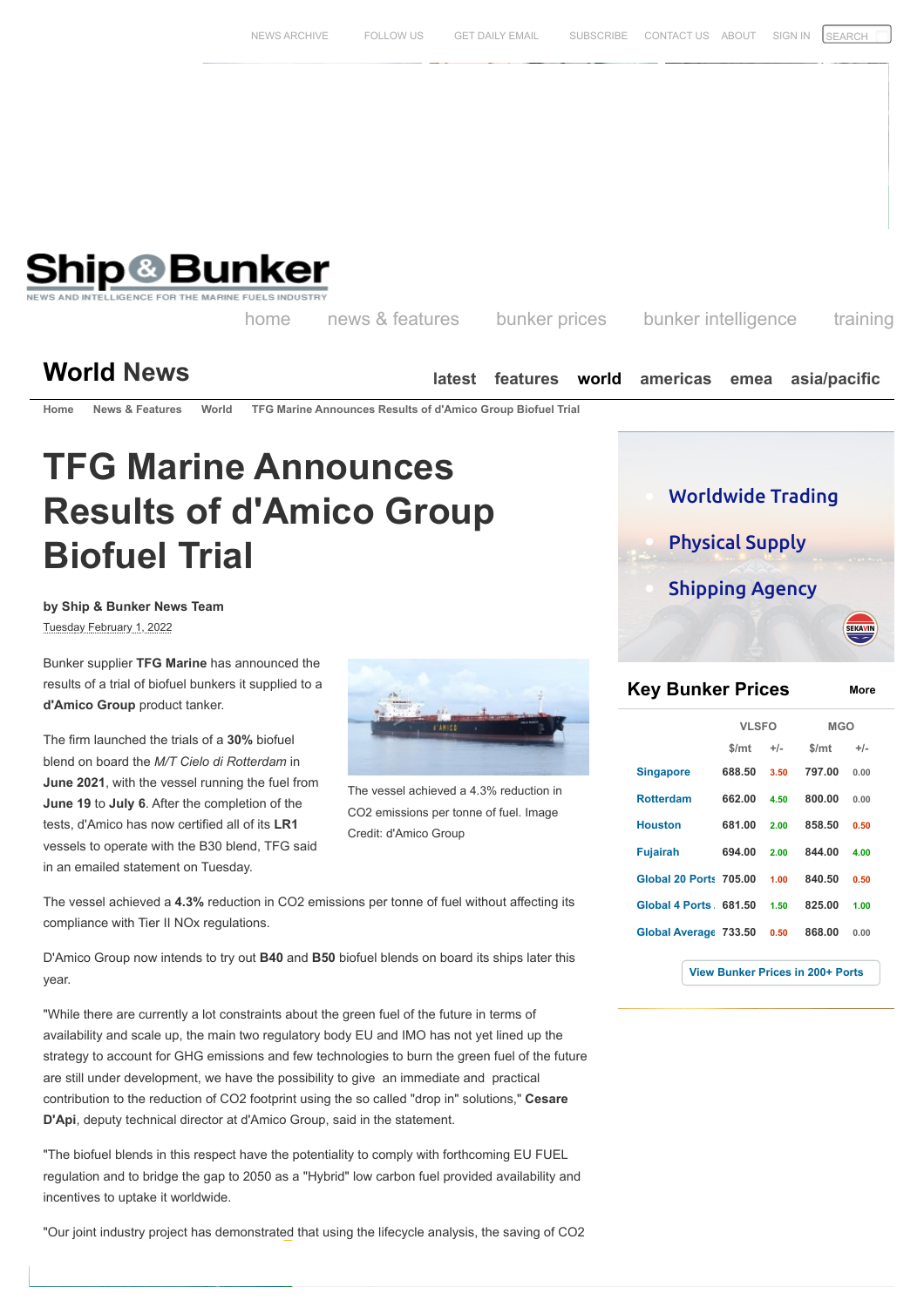

[NEWS ARCHIVE](https://shipandbunker.com/news/archive) [FOLLOW US](https://twitter.com/shipandbunker) [GET DAILY EMAIL](https://shipandbunker.com/user/register) [SUBSCRIBE](https://shipandbunker.com/store/subscribe) [CONTACT US](https://shipandbunker.com/contact) [ABOUT](https://shipandbunker.com/about) [SIGN IN](https://shipandbunker.com/user/login)

**by Ship & Bunker News Team** Tuesday February 1, 2022

Bunker supplier **TFG Marine** has announced the results of a trial of biofuel bunkers it supplied to a **d'Amico Group** product tanker.

The firm launched the trials of a **30%** biofuel blend on board the *M/T Cielo di Rotterdam* in **June 2021**, with the vessel running the fuel from **June 19** to **July 6**. After the completion of the tests, d'Amico has now certified all of its **LR1** vessels to operate with the B30 blend, TFG said in an emailed statement on Tuesday.



The vessel achieved a 4.3% reduction in CO2 emissions per tonne of fuel. Image Credit: d'Amico Group

The vessel achieved a **4.3%** reduction in CO2 emissions per tonne of fuel without affecting its compliance with Tier II NOx regulations.

D'Amico Group now intends to try out **B40** and **B50** biofuel blends on board its ships later this year.

"While there are currently a lot constraints about the green fuel of the future in terms of availability and scale up, the main two regulatory body EU and IMO has not yet lined up the strategy to account for GHG emissions and few technologies to burn the green fuel of the future are still under development, we have the possibility to give an immediate and practical contribution to the reduction of CO2 footprint using the so called "drop in" solutions," **Cesare D'Api**, deputy technical director at d'Amico Group, said in the statement. **Biofive Trial** (**Constrained By the Short-term measures adopted by the state of the short-term measures adopted by the state of the state of the state of the short-term measures adopted by the short-term measures adopted** 

"The biofuel blends in this respect have the potentiality to comply with forthcoming EU FUEL regulation and to bridge the gap to 2050 as a "Hybrid" low carbon fuel provided availability and incentives to uptake it worldwide.

"Our joint industry project has demonstrated that using the lifecycle analysis, the saving of CO2

Physical Supply Shipping Agency **SEKAVII Key [Bunker](https://shipandbunker.com/prices) Prices [More](https://shipandbunker.com/prices)**

|                               | <b>VLSFO</b> |       | <b>MGO</b> |       |
|-------------------------------|--------------|-------|------------|-------|
|                               | \$/mt        | $+/-$ | \$/mt      | $+/-$ |
| <b>Singapore</b>              | 688.50       | 3.50  | 797.00     | 0.00  |
| <b>Rotterdam</b>              | 662.00       | 4.50  | 800.00     | 0.00  |
| <b>Houston</b>                | 681.00       | 2.00  | 858.50     | 0.50  |
| <b>Fujairah</b>               | 694.00       | 2.00  | 844.00     | 4.00  |
| <b>Global 20 Ports 705.00</b> |              | 1.00  | 840.50     | 0.50  |
| Global 4 Ports 681.50         |              | 1.50  | 825.00     | 1.00  |
| Global Average 733.50         |              | 0.50  | 868.00     | 0.00  |
|                               |              |       |            |       |

**[View Bunker Prices in 200+ Ports](https://shipandbunker.com/prices)**